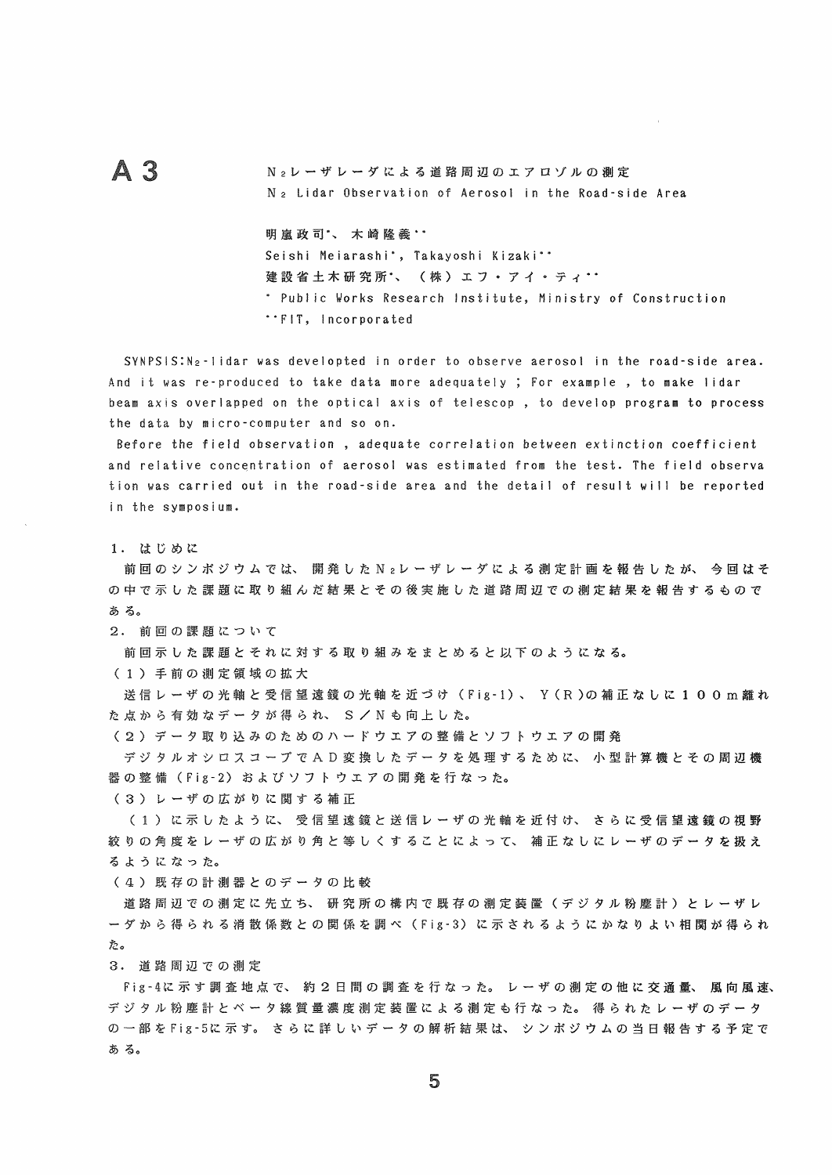## $A<sub>3</sub>$

N<sub>2</sub>レーザレーダによる道路周辺のエアロゾルの測定 N > Lidar Observation of Aerosol in the Road-side Area

## 明嵐政司\*、木崎隆義\*\*

Seishi Meiarashi', Takayoshi Kizaki'' 建設省土木研究所、 (株) エフ・アイ・ティ… \* Public Works Research Institute, Ministry of Construction "FIT, Incorporated

SYNPSIS: N<sub>2</sub>-lidar was developted in order to observe aerosol in the road-side area. And it was re-produced to take data more adequately ; For example, to make lidar beam axis overlapped on the optical axis of telescop, to develop program to process the data by micro-computer and so on.

Before the field observation, adequate correlation between extinction coefficient and relative concentration of aerosol was estimated from the test. The field observa tion was carried out in the road-side area and the detail of result will be reported in the symposium.

1. はじめに

前回のシンボジウムでは、開発したN2レーザレーダによる測定計画を報告したが、今回はそ の中で示した課題に取り組んだ結果とその後実施した道路周辺での測定結果を報告するもので ある。

2. 前回の課題について

前回示した課題とそれに対する取り組みをまとめると以下のようになる。

(1) 手前の測定領域の拡大

送信レーザの光軸と受信望遠鏡の光軸を近づけ (Fig-1)、 Y (R)の補正なしに100m離れ た点から有効なデータが得られ、S/Nも向上した。

(2) データ取り込みのためのハードウエアの整備とソフトウエアの開発

デジタルオシロスコープでAD変換したデータを処理するために、小型計算機とその周辺機 器の整備 (Fig-2) およびソフトウエアの開発を行なった。

(3) レーザの広がりに関する補正

(1) に示したように、受信望遠鏡と送信レーザの光軸を近付け、さらに受信望遠鏡の視野 絞りの角度をレーザの広がり角と等しくすることによって、 補正なしにレーザのデータを扱え るようになった。

(4) 既存の計測器とのデータの比較

道路周辺での測定に先立ち、研究所の構内で既存の測定装置(デジタル粉塵計)とレーザレ ー ダ か ら 得 ら れ る 消 散 係 数 と の 関 係 を 調 べ ( Fig - 3)に 示 さ れ る よ う に か な り よ い 相 関 が 得 ら れ た。

3. 道路周辺での測定

Fig-4に示す調査地点で、約2日間の調査を行なった。レーザの測定の他に交通量、風向風速、 デ ジ タ ル 粉 塵 計 と ベ ー タ 線 質 量 濃 度 測 定 装 置 に よ る 測 定 も 行 な っ た。 得 ら れ た レ ー ザ の デ ー タ の一部をFig-5に示す。さらに詳しいデータの解析結果は、シンポジウムの当日報告する予定で ある。

5